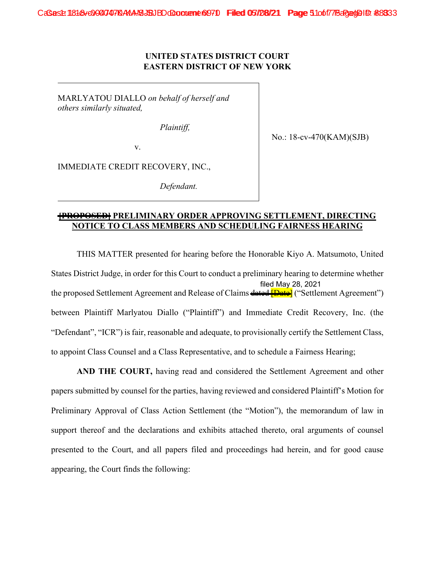## **UNITED STATES DISTRICT COURT EASTERN DISTRICT OF NEW YORK**

MARLYATOU DIALLO *on behalf of herself and others similarly situated,* 

 *Plaintiff,* 

No.: 18-cv-470(KAM)(SJB)

v.

IMMEDIATE CREDIT RECOVERY, INC.,

*Defendant.* 

## **[PROPOSED] PRELIMINARY ORDER APPROVING SETTLEMENT, DIRECTING NOTICE TO CLASS MEMBERS AND SCHEDULING FAIRNESS HEARING**

THIS MATTER presented for hearing before the Honorable Kiyo A. Matsumoto, United States District Judge, in order for this Court to conduct a preliminary hearing to determine whether the proposed Settlement Agreement and Release of Claims dated **[Date]** ("Settlement Agreement") between Plaintiff Marlyatou Diallo ("Plaintiff") and Immediate Credit Recovery, Inc. (the "Defendant", "ICR") is fair, reasonable and adequate, to provisionally certify the Settlement Class, to appoint Class Counsel and a Class Representative, and to schedule a Fairness Hearing; filed May 28, 2021

**AND THE COURT,** having read and considered the Settlement Agreement and other papers submitted by counsel for the parties, having reviewed and considered Plaintiff's Motion for Preliminary Approval of Class Action Settlement (the "Motion"), the memorandum of law in support thereof and the declarations and exhibits attached thereto, oral arguments of counsel presented to the Court, and all papers filed and proceedings had herein, and for good cause appearing, the Court finds the following: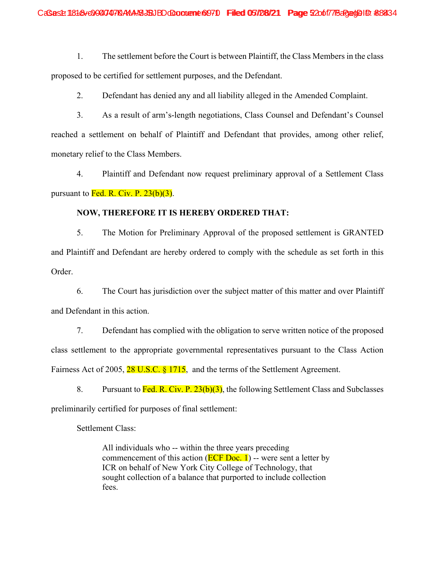1. The settlement before the Court is between Plaintiff, the Class Members in the class proposed to be certified for settlement purposes, and the Defendant.

2. Defendant has denied any and all liability alleged in the Amended Complaint.

3. As a result of arm's-length negotiations, Class Counsel and Defendant's Counsel reached a settlement on behalf of Plaintiff and Defendant that provides, among other relief, monetary relief to the Class Members.

4. Plaintiff and Defendant now request preliminary approval of a Settlement Class pursuant to  $\overline{Fed}$ . R. Civ. P. 23(b)(3).

## **NOW, THEREFORE IT IS HEREBY ORDERED THAT:**

5. The Motion for Preliminary Approval of the proposed settlement is GRANTED and Plaintiff and Defendant are hereby ordered to comply with the schedule as set forth in this Order.

6. The Court has jurisdiction over the subject matter of this matter and over Plaintiff and Defendant in this action.

7. Defendant has complied with the obligation to serve written notice of the proposed class settlement to the appropriate governmental representatives pursuant to the Class Action Fairness Act of 2005, 28 U.S.C.  $\S 1715$ , and the terms of the Settlement Agreement.

8. Pursuant to Fed. R. Civ. P. 23(b)(3), the following Settlement Class and Subclasses preliminarily certified for purposes of final settlement:

Settlement Class:

All individuals who -- within the three years preceding commencement of this action ( $\overline{ECF}$  Doc. 1) -- were sent a letter by ICR on behalf of New York City College of Technology, that sought collection of a balance that purported to include collection fees.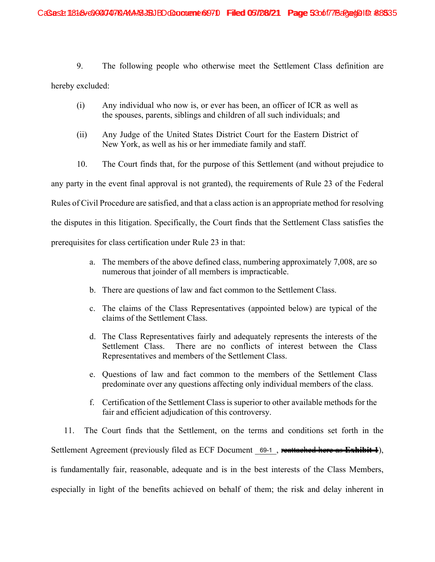9. The following people who otherwise meet the Settlement Class definition are

hereby excluded:

- (i) Any individual who now is, or ever has been, an officer of ICR as well as the spouses, parents, siblings and children of all such individuals; and
- (ii) Any Judge of the United States District Court for the Eastern District of New York, as well as his or her immediate family and staff.
- 10. The Court finds that, for the purpose of this Settlement (and without prejudice to

any party in the event final approval is not granted), the requirements of Rule 23 of the Federal

Rules of Civil Procedure are satisfied, and that a class action is an appropriate method for resolving

the disputes in this litigation. Specifically, the Court finds that the Settlement Class satisfies the

prerequisites for class certification under Rule 23 in that:

- a. The members of the above defined class, numbering approximately 7,008, are so numerous that joinder of all members is impracticable.
- b. There are questions of law and fact common to the Settlement Class.
- c. The claims of the Class Representatives (appointed below) are typical of the claims of the Settlement Class.
- d. The Class Representatives fairly and adequately represents the interests of the Settlement Class. There are no conflicts of interest between the Class Representatives and members of the Settlement Class.
- e. Questions of law and fact common to the members of the Settlement Class predominate over any questions affecting only individual members of the class.
- f. Certification of the Settlement Class is superior to other available methods for the fair and efficient adjudication of this controversy.

11. The Court finds that the Settlement, on the terms and conditions set forth in the Settlement Agreement (previously filed as ECF Document 69-1, reattached here as Exhibit 1), is fundamentally fair, reasonable, adequate and is in the best interests of the Class Members, especially in light of the benefits achieved on behalf of them; the risk and delay inherent in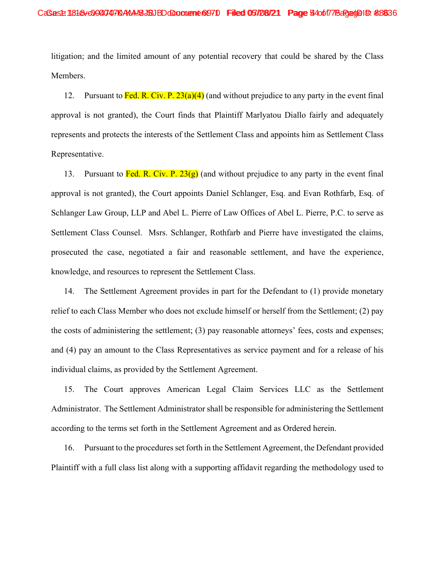litigation; and the limited amount of any potential recovery that could be shared by the Class Members.

12. Pursuant to Fed. R. Civ. P.  $23(a)(4)$  (and without prejudice to any party in the event final approval is not granted), the Court finds that Plaintiff Marlyatou Diallo fairly and adequately represents and protects the interests of the Settlement Class and appoints him as Settlement Class Representative.

13. Pursuant to Fed. R. Civ. P.  $23(g)$  (and without prejudice to any party in the event final approval is not granted), the Court appoints Daniel Schlanger, Esq. and Evan Rothfarb, Esq. of Schlanger Law Group, LLP and Abel L. Pierre of Law Offices of Abel L. Pierre, P.C. to serve as Settlement Class Counsel. Msrs. Schlanger, Rothfarb and Pierre have investigated the claims, prosecuted the case, negotiated a fair and reasonable settlement, and have the experience, knowledge, and resources to represent the Settlement Class.

14. The Settlement Agreement provides in part for the Defendant to (1) provide monetary relief to each Class Member who does not exclude himself or herself from the Settlement; (2) pay the costs of administering the settlement; (3) pay reasonable attorneys' fees, costs and expenses; and (4) pay an amount to the Class Representatives as service payment and for a release of his individual claims, as provided by the Settlement Agreement.

15. The Court approves American Legal Claim Services LLC as the Settlement Administrator. The Settlement Administrator shall be responsible for administering the Settlement according to the terms set forth in the Settlement Agreement and as Ordered herein.

16. Pursuant to the procedures set forth in the Settlement Agreement, the Defendant provided Plaintiff with a full class list along with a supporting affidavit regarding the methodology used to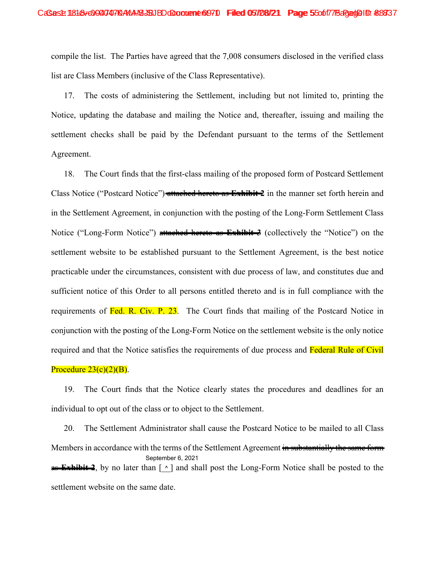compile the list. The Parties have agreed that the 7,008 consumers disclosed in the verified class list are Class Members (inclusive of the Class Representative).

17. The costs of administering the Settlement, including but not limited to, printing the Notice, updating the database and mailing the Notice and, thereafter, issuing and mailing the settlement checks shall be paid by the Defendant pursuant to the terms of the Settlement Agreement.

18. The Court finds that the first-class mailing of the proposed form of Postcard Settlement Class Notice ("Postcard Notice") attached hereto as **Exhibit 2** in the manner set forth herein and in the Settlement Agreement, in conjunction with the posting of the Long-Form Settlement Class Notice ("Long-Form Notice") attached hereto as **Exhibit 3** (collectively the "Notice") on the settlement website to be established pursuant to the Settlement Agreement, is the best notice practicable under the circumstances, consistent with due process of law, and constitutes due and sufficient notice of this Order to all persons entitled thereto and is in full compliance with the requirements of Fed. R. Civ. P. 23. The Court finds that mailing of the Postcard Notice in conjunction with the posting of the Long-Form Notice on the settlement website is the only notice required and that the Notice satisfies the requirements of due process and Federal Rule of Civil Procedure  $23(c)(2)(B)$ .

19. The Court finds that the Notice clearly states the procedures and deadlines for an individual to opt out of the class or to object to the Settlement.

20. The Settlement Administrator shall cause the Postcard Notice to be mailed to all Class Members in accordance with the terms of the Settlement Agreement in substantially the same form as **Exhibit 2**, by no later than [ $\land$ ] and shall post the Long-Form Notice shall be posted to the settlement website on the same date. September 6, 2021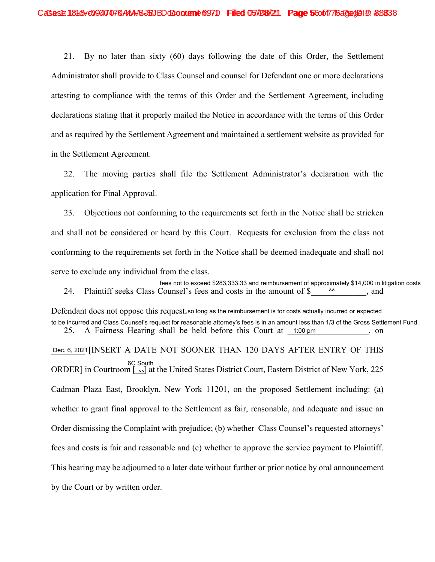21. By no later than sixty (60) days following the date of this Order, the Settlement Administrator shall provide to Class Counsel and counsel for Defendant one or more declarations attesting to compliance with the terms of this Order and the Settlement Agreement, including declarations stating that it properly mailed the Notice in accordance with the terms of this Order and as required by the Settlement Agreement and maintained a settlement website as provided for in the Settlement Agreement.

22. The moving parties shall file the Settlement Administrator's declaration with the application for Final Approval.

23. Objections not conforming to the requirements set forth in the Notice shall be stricken and shall not be considered or heard by this Court. Requests for exclusion from the class not conforming to the requirements set forth in the Notice shall be deemed inadequate and shall not serve to exclude any individual from the class.

24. Plaintiff seeks Class Counsel's fees and costs in the amount of \$ fees not to exceed \$283,333.33 and reimbursement of approximately \$14,000 in litigation costs  $\Lambda\Lambda$ 

Defendant does not oppose this request,so long as the reimbursement is for costs actually incurred or expected 25. A Fairness Hearing shall be held before this Court at 1:00 pm , on to be incurred and Class Counsel's request for reasonable attorney's fees is in an amount less than 1/3 of the Gross Settlement Fund.

Dec. 6, 2021 [INSERT A DATE NOT SOONER THAN 120 DAYS AFTER ENTRY OF THIS ORDER] in Courtroom  $\begin{bmatrix} 0 & \Delta A \\ 0 & 0 \end{bmatrix}$  at the United States District Court, Eastern District of New York, 225 Cadman Plaza East, Brooklyn, New York 11201, on the proposed Settlement including: (a) whether to grant final approval to the Settlement as fair, reasonable, and adequate and issue an Order dismissing the Complaint with prejudice; (b) whether Class Counsel's requested attorneys' fees and costs is fair and reasonable and (c) whether to approve the service payment to Plaintiff. This hearing may be adjourned to a later date without further or prior notice by oral announcement by the Court or by written order. 6C South